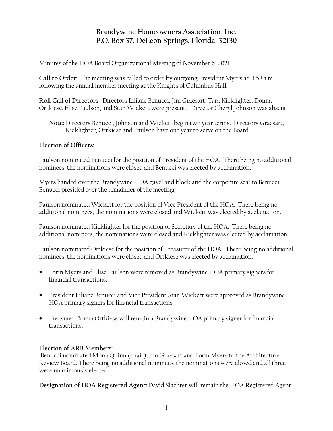## **Brandywine Homeowners Association, Inc. P.O. Box 37, DeLeon Springs, Florida 32130**

Minutes of the HOA Board Organizational Meeting of November 6, 2021

**Call to Order**: The meeting was called to order by outgoing President Myers at 11:58 a.m. following the annual member meeting at the Knights of Columbus Hall.

**Roll Call of Directors**: Directors Liliane Benucci, Jim Graesart, Tara Kicklighter, Donna Ortkiese, Elise Paulson, and Stan Wickett were present. Director Cheryl Johnson was absent.

 **Note:** Directors Benucci, Johnson and Wickett begin two year terms. Directors Graesart, Kicklighter, Ortkiese and Paulson have one year to serve on the Board.

## **Election of Officers:**

Paulson nominated Benucci for the position of President of the HOA. There being no additional nominees, the nominations were closed and Benucci was elected by acclamation.

Myers handed over the Brandywine HOA gavel and block and the corporate seal to Benucci. Benucci presided over the remainder of the meeting.

Paulson nominated Wickett for the position of Vice President of the HOA. There being no additional nominees, the nominations were closed and Wickett was elected by acclamation.

Paulson nominated Kicklighter for the position of Secretary of the HOA. There being no additional nominees, the nominations were closed and Kicklighter was elected by acclamation.

Paulson nominated Ortkiese for the position of Treasurer of the HOA. There being no additional nominees, the nominations were closed and Ortkiese was elected by acclamation.

- Lorin Myers and Elise Paulson were removed as Brandywine HOA primary signers for financial transactions.
- President Liliane Benucci and Vice President Stan Wickett were approved as Brandywine HOA primary signers for financial transactions.
- Treasurer Donna Ortkiese will remain a Brandywine HOA primary signer for financial transactions.

## **Election of ARB Members:**

 Benucci nominated Mona Quinn (chair), Jim Graesart and Lorin Myers to the Architecture Review Board. There being no additional nominees, the nominations were closed and all three were unanimously elected.

**Designation of HOA Registered Agent:** David Slachter will remain the HOA Registered Agent.